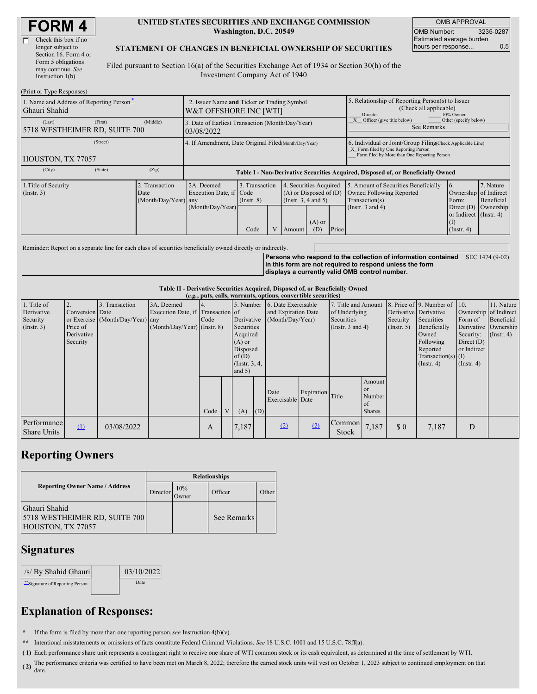| <b>FORM4</b> |
|--------------|
|--------------|

| Check this box if no  |
|-----------------------|
| longer subject to     |
| Section 16. Form 4 or |
| Form 5 obligations    |
| may continue. See     |
| Instruction $1(b)$ .  |
|                       |

#### **UNITED STATES SECURITIES AND EXCHANGE COMMISSION Washington, D.C. 20549**

OMB APPROVAL OMB Number: 3235-0287 Estimated average burden hours per response... 0.5

### **STATEMENT OF CHANGES IN BENEFICIAL OWNERSHIP OF SECURITIES**

Filed pursuant to Section 16(a) of the Securities Exchange Act of 1934 or Section 30(h) of the Investment Company Act of 1940

| (Print or Type Responses)                                                                                                        |                                                                       |                                                                                  |                                   |  |                                                                                  |                                                                    |                                                                                                     |                                                                                                                                                    |                                                      |                                      |  |
|----------------------------------------------------------------------------------------------------------------------------------|-----------------------------------------------------------------------|----------------------------------------------------------------------------------|-----------------------------------|--|----------------------------------------------------------------------------------|--------------------------------------------------------------------|-----------------------------------------------------------------------------------------------------|----------------------------------------------------------------------------------------------------------------------------------------------------|------------------------------------------------------|--------------------------------------|--|
| 1. Name and Address of Reporting Person-<br>Ghauri Shahid                                                                        | 2. Issuer Name and Ticker or Trading Symbol<br>W&T OFFSHORE INC [WTI] |                                                                                  |                                   |  |                                                                                  |                                                                    | 5. Relationship of Reporting Person(s) to Issuer<br>(Check all applicable)<br>10% Owner<br>Director |                                                                                                                                                    |                                                      |                                      |  |
| (First)<br>(Middle)<br>(Last)<br>3. Date of Earliest Transaction (Month/Day/Year)<br>5718 WESTHEIMER RD, SUITE 700<br>03/08/2022 |                                                                       |                                                                                  |                                   |  |                                                                                  | Officer (give title below)<br>Other (specify below)<br>See Remarks |                                                                                                     |                                                                                                                                                    |                                                      |                                      |  |
| (Street)<br>HOUSTON, TX 77057                                                                                                    |                                                                       | 4. If Amendment, Date Original Filed(Month/Day/Year)                             |                                   |  |                                                                                  |                                                                    |                                                                                                     | 6. Individual or Joint/Group Filing(Check Applicable Line)<br>X Form filed by One Reporting Person<br>Form filed by More than One Reporting Person |                                                      |                                      |  |
| (City)<br>(State)                                                                                                                | (Zip)                                                                 | Table I - Non-Derivative Securities Acquired, Disposed of, or Beneficially Owned |                                   |  |                                                                                  |                                                                    |                                                                                                     |                                                                                                                                                    |                                                      |                                      |  |
| 1. Title of Security<br>2. Transaction<br>(Insert. 3)<br>Date<br>(Month/Day/Year) any                                            |                                                                       | 2A. Deemed<br>Execution Date, if Code<br>(Month/Day/Year)                        | 3. Transaction<br>$($ Instr. $8)$ |  | 4. Securities Acquired<br>$(A)$ or Disposed of $(D)$<br>(Instr. $3, 4$ and $5$ ) |                                                                    |                                                                                                     | 5. Amount of Securities Beneficially<br>Owned Following Reported<br>Transaction(s)<br>(Instr. 3 and 4)                                             | 6.<br>Ownership of Indirect<br>Form:<br>Direct $(D)$ | 7. Nature<br>Beneficial<br>Ownership |  |
|                                                                                                                                  |                                                                       |                                                                                  | Code                              |  | Amount                                                                           | $(A)$ or<br>(D)                                                    | Price                                                                                               |                                                                                                                                                    | or Indirect (Instr. 4)<br>(I)<br>$($ Instr. 4)       |                                      |  |

Reminder: Report on a separate line for each class of securities beneficially owned directly or indirectly.

**Persons who respond to the collection of information contained** SEC 1474 (9-02) **in this form are not required to respond unless the form displays a currently valid OMB control number.**

### **Table II - Derivative Securities Acquired, Disposed of, or Beneficially Owned**

| (e.g., puts, calls, warrants, options, convertible securities) |                 |                                  |                                   |      |            |                             |                     |                     |               |                       |                       |                                          |                          |                       |                      |
|----------------------------------------------------------------|-----------------|----------------------------------|-----------------------------------|------|------------|-----------------------------|---------------------|---------------------|---------------|-----------------------|-----------------------|------------------------------------------|--------------------------|-----------------------|----------------------|
| 1. Title of                                                    |                 | 3. Transaction                   | 3A. Deemed                        | 4.   |            | 5. Number                   |                     | 6. Date Exercisable |               | 7. Title and Amount   |                       |                                          | 8. Price of 9. Number of | $\vert$ 10.           | 11. Nature           |
| Derivative                                                     | Conversion Date |                                  | Execution Date, if Transaction of |      |            |                             | and Expiration Date |                     | of Underlying |                       | Derivative Derivative |                                          |                          | Ownership of Indirect |                      |
| Security                                                       |                 | or Exercise (Month/Day/Year) any |                                   | Code | Derivative |                             | (Month/Day/Year)    |                     | Securities    |                       | Security              | Securities                               | Form of                  | Beneficial            |                      |
| (Insert. 3)                                                    | Price of        |                                  | $(Month/Day/Year)$ (Instr. 8)     |      |            | Securities                  |                     |                     |               | (Instr. $3$ and $4$ ) |                       | (Insert, 5)                              | Beneficially             |                       | Derivative Ownership |
|                                                                | Derivative      |                                  |                                   |      |            | Acquired                    |                     |                     |               |                       |                       |                                          | Owned                    | Security:             | $($ Instr. 4)        |
|                                                                | Security        |                                  |                                   |      |            | $(A)$ or                    |                     |                     |               |                       |                       |                                          | Following                | Direct $(D)$          |                      |
|                                                                |                 |                                  |                                   |      |            | Disposed                    |                     |                     |               |                       |                       |                                          | Reported                 | or Indirect           |                      |
|                                                                |                 |                                  |                                   |      |            | of $(D)$                    |                     |                     |               |                       |                       | $Transaction(s)$ (I)<br>$($ Instr. 4 $)$ |                          |                       |                      |
|                                                                |                 |                                  |                                   |      |            | (Instr. $3, 4,$<br>and $5)$ |                     |                     |               |                       |                       |                                          |                          | $($ Instr. 4 $)$      |                      |
|                                                                |                 |                                  |                                   |      |            |                             |                     |                     |               |                       |                       |                                          |                          |                       |                      |
|                                                                |                 |                                  |                                   |      |            |                             |                     |                     |               |                       | Amount                |                                          |                          |                       |                      |
|                                                                |                 |                                  |                                   |      |            |                             |                     | Date                | Expiration    |                       | <b>or</b>             |                                          |                          |                       |                      |
|                                                                |                 |                                  |                                   |      |            |                             |                     | Exercisable Date    |               | Title                 | Number                |                                          |                          |                       |                      |
|                                                                |                 |                                  |                                   | Code | V          | (A)                         | (D)                 |                     |               |                       | of<br><b>Shares</b>   |                                          |                          |                       |                      |
|                                                                |                 |                                  |                                   |      |            |                             |                     |                     |               |                       |                       |                                          |                          |                       |                      |
| Performance                                                    | (1)             |                                  |                                   |      |            |                             |                     | (2)                 | (2)           | Common                |                       |                                          |                          |                       |                      |
| <b>Share Units</b>                                             |                 | 03/08/2022                       |                                   | A    |            | 7,187                       |                     |                     |               | Stock                 | 7,187                 | $\sqrt{3}0$                              | 7,187                    | D                     |                      |

## **Reporting Owners**

|                                                                     | <b>Relationships</b>  |                      |             |       |  |  |  |  |
|---------------------------------------------------------------------|-----------------------|----------------------|-------------|-------|--|--|--|--|
| <b>Reporting Owner Name / Address</b>                               | Director <sup>'</sup> | 10%<br><b>J</b> wner | Officer     | Other |  |  |  |  |
| Ghauri Shahid<br>5718 WESTHEIMER RD, SUITE 700<br>HOUSTON, TX 77057 |                       |                      | See Remarks |       |  |  |  |  |

## **Signatures**

| /s/ By Shahid Ghauri          | 03/10/2022 |
|-------------------------------|------------|
| Signature of Reporting Person | Date       |

# **Explanation of Responses:**

**\*** If the form is filed by more than one reporting person,*see* Instruction 4(b)(v).

**\*\*** Intentional misstatements or omissions of facts constitute Federal Criminal Violations. *See* 18 U.S.C. 1001 and 15 U.S.C. 78ff(a).

**( 1)** Each performance share unit represents a contingent right to receive one share of WTI common stock or its cash equivalent, as determined at the time of settlement by WTI.

(2) The performance criteria was certified to have been met on March 8, 2022; therefore the earned stock units will vest on October 1, 2023 subject to continued employment on that date.